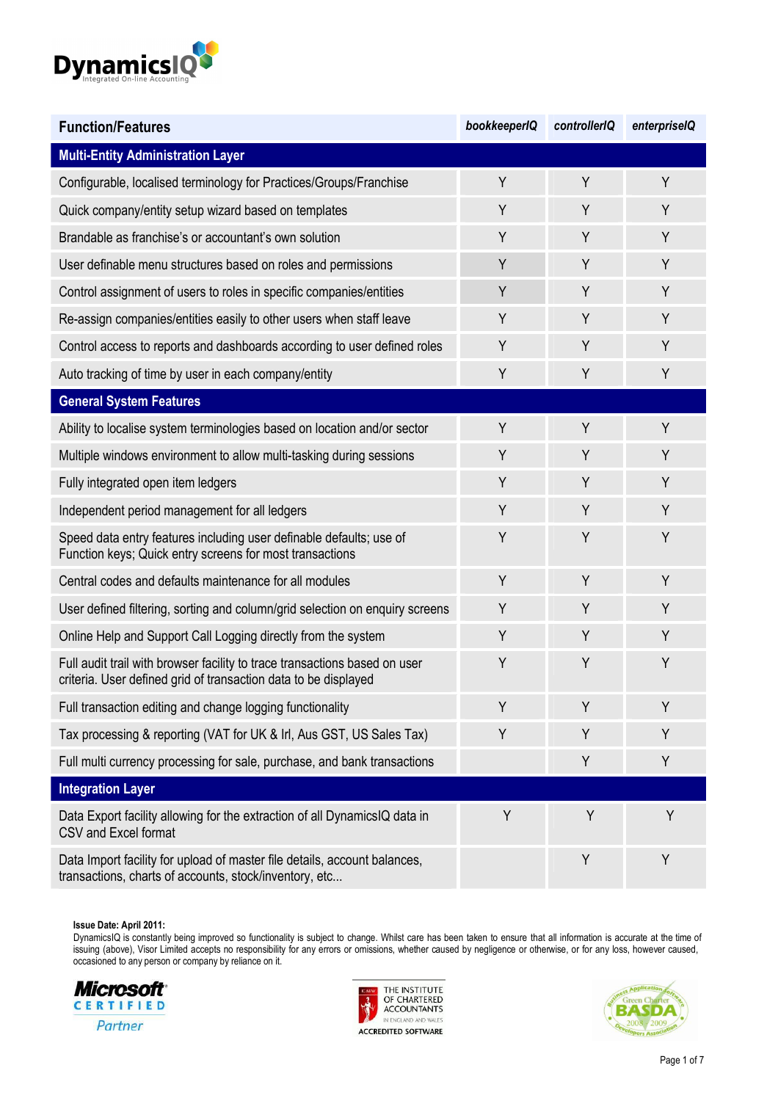

| <b>Function/Features</b>                                                                                                                      | bookkeeperIQ | controllerIQ | enterpriselQ |
|-----------------------------------------------------------------------------------------------------------------------------------------------|--------------|--------------|--------------|
| <b>Multi-Entity Administration Layer</b>                                                                                                      |              |              |              |
| Configurable, localised terminology for Practices/Groups/Franchise                                                                            | Y            | Y            | Y            |
| Quick company/entity setup wizard based on templates                                                                                          | Y            | Y            | Y            |
| Brandable as franchise's or accountant's own solution                                                                                         | Y            | Y            | Y            |
| User definable menu structures based on roles and permissions                                                                                 | Y            | Y            | Y            |
| Control assignment of users to roles in specific companies/entities                                                                           | Y            | Y            | Y            |
| Re-assign companies/entities easily to other users when staff leave                                                                           | Y            | Y            | Y            |
| Control access to reports and dashboards according to user defined roles                                                                      | Y            | Y            | Y            |
| Auto tracking of time by user in each company/entity                                                                                          | Y            | Y            | Y            |
| <b>General System Features</b>                                                                                                                |              |              |              |
| Ability to localise system terminologies based on location and/or sector                                                                      | Y            | Y            | Y            |
| Multiple windows environment to allow multi-tasking during sessions                                                                           | Y            | Y            | Y            |
| Fully integrated open item ledgers                                                                                                            | Y            | Y            | Y            |
| Independent period management for all ledgers                                                                                                 | Y            | Y            | Y            |
| Speed data entry features including user definable defaults; use of<br>Function keys; Quick entry screens for most transactions               | Y            | Y            | Y            |
| Central codes and defaults maintenance for all modules                                                                                        | Y            | Y            | Y            |
| User defined filtering, sorting and column/grid selection on enquiry screens                                                                  | Y            | Y            | Y            |
| Online Help and Support Call Logging directly from the system                                                                                 | Y            | Y            | Y            |
| Full audit trail with browser facility to trace transactions based on user<br>criteria. User defined grid of transaction data to be displayed | Y            | Y            | Y            |
| Full transaction editing and change logging functionality                                                                                     | Υ            | Y            | Y            |
| Tax processing & reporting (VAT for UK & Irl, Aus GST, US Sales Tax)                                                                          | Y            | Y            | Y            |
| Full multi currency processing for sale, purchase, and bank transactions                                                                      |              | Y            | Y            |
| <b>Integration Layer</b>                                                                                                                      |              |              |              |
| Data Export facility allowing for the extraction of all DynamicsIQ data in<br>CSV and Excel format                                            | Y            | Y            | Y            |
| Data Import facility for upload of master file details, account balances,<br>transactions, charts of accounts, stock/inventory, etc           |              | Y            | Y            |





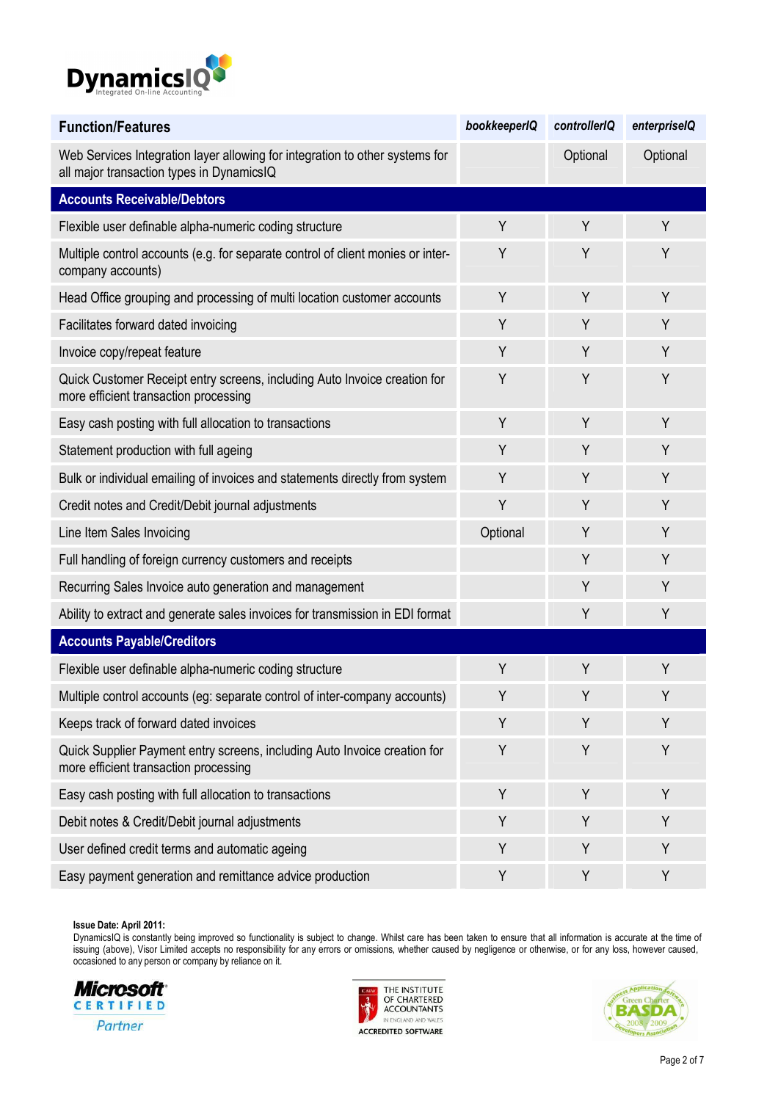

| <b>Function/Features</b>                                                                                                  | bookkeeperIQ | controllerIQ | enterpriselQ |
|---------------------------------------------------------------------------------------------------------------------------|--------------|--------------|--------------|
| Web Services Integration layer allowing for integration to other systems for<br>all major transaction types in DynamicsIQ |              | Optional     | Optional     |
| <b>Accounts Receivable/Debtors</b>                                                                                        |              |              |              |
| Flexible user definable alpha-numeric coding structure                                                                    | Y            | Y            | Y            |
| Multiple control accounts (e.g. for separate control of client monies or inter-<br>company accounts)                      | Y            | Y            | Y            |
| Head Office grouping and processing of multi location customer accounts                                                   | Y            | Y            | Y            |
| Facilitates forward dated invoicing                                                                                       | Y            | Y            | Y            |
| Invoice copy/repeat feature                                                                                               | Y            | Y            | Y            |
| Quick Customer Receipt entry screens, including Auto Invoice creation for<br>more efficient transaction processing        | Y            | Y            | Υ            |
| Easy cash posting with full allocation to transactions                                                                    | Y            | Y            | Y            |
| Statement production with full ageing                                                                                     | Y            | Y            | Y            |
| Bulk or individual emailing of invoices and statements directly from system                                               | Y            | Y            | Y            |
| Credit notes and Credit/Debit journal adjustments                                                                         | Y            | Y            | Υ            |
| Line Item Sales Invoicing                                                                                                 | Optional     | Y            | Y            |
| Full handling of foreign currency customers and receipts                                                                  |              | Y            | Υ            |
| Recurring Sales Invoice auto generation and management                                                                    |              | Y            | Y            |
| Ability to extract and generate sales invoices for transmission in EDI format                                             |              | Y            | Υ            |
| <b>Accounts Payable/Creditors</b>                                                                                         |              |              |              |
| Flexible user definable alpha-numeric coding structure                                                                    | Y            | Y            | Y            |
| Multiple control accounts (eg: separate control of inter-company accounts)                                                | Y            | Y            | Υ            |
| Keeps track of forward dated invoices                                                                                     | Y            | Y            | Y            |
| Quick Supplier Payment entry screens, including Auto Invoice creation for<br>more efficient transaction processing        | Y            | Y            | Y            |
| Easy cash posting with full allocation to transactions                                                                    | Y            | Y            | Υ            |
| Debit notes & Credit/Debit journal adjustments                                                                            | Y            | Y            | Υ            |
| User defined credit terms and automatic ageing                                                                            | Y            | Y            | Υ            |
| Easy payment generation and remittance advice production                                                                  | Υ            | Υ            | Υ            |





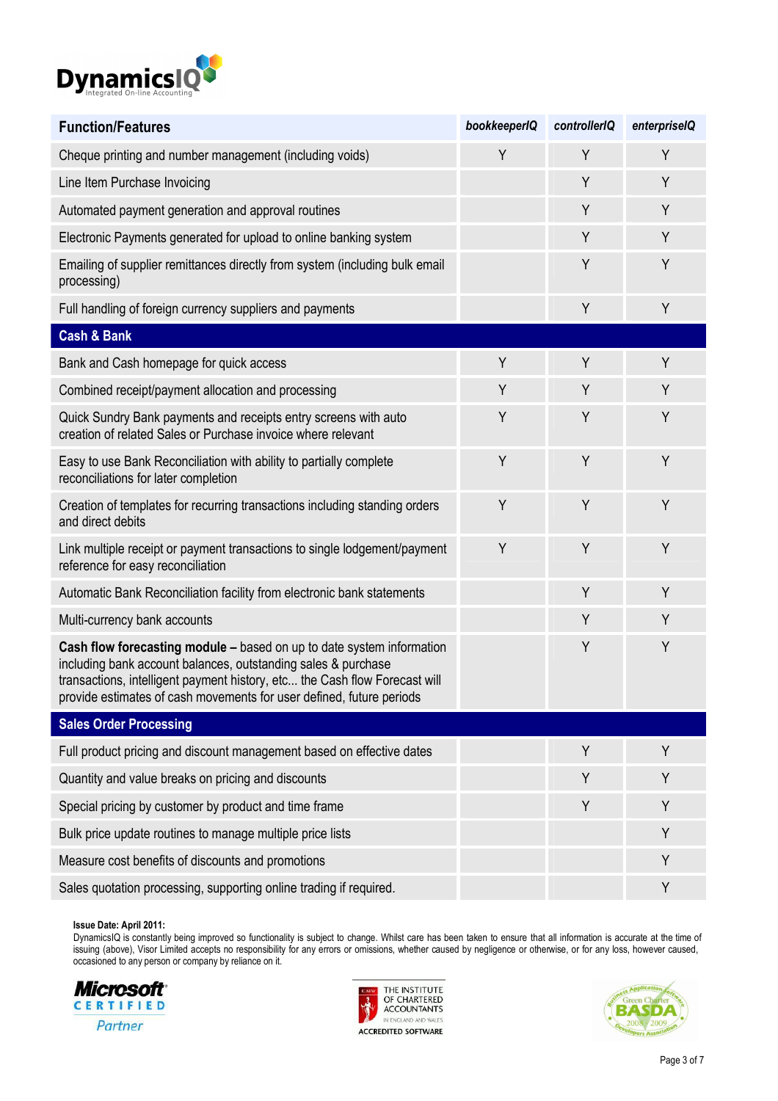

| <b>Function/Features</b>                                                                                                                                                                                                                                                                     | bookkeeperIQ | controllerIQ | enterpriselQ |
|----------------------------------------------------------------------------------------------------------------------------------------------------------------------------------------------------------------------------------------------------------------------------------------------|--------------|--------------|--------------|
| Cheque printing and number management (including voids)                                                                                                                                                                                                                                      | Y            | Y            | Υ            |
| Line Item Purchase Invoicing                                                                                                                                                                                                                                                                 |              | Y            | Y            |
| Automated payment generation and approval routines                                                                                                                                                                                                                                           |              | Y            | Υ            |
| Electronic Payments generated for upload to online banking system                                                                                                                                                                                                                            |              | Y            | Y            |
| Emailing of supplier remittances directly from system (including bulk email<br>processing)                                                                                                                                                                                                   |              | Y            | Υ            |
| Full handling of foreign currency suppliers and payments                                                                                                                                                                                                                                     |              | Y            | Y            |
| <b>Cash &amp; Bank</b>                                                                                                                                                                                                                                                                       |              |              |              |
| Bank and Cash homepage for quick access                                                                                                                                                                                                                                                      | Y            | Y            | Y            |
| Combined receipt/payment allocation and processing                                                                                                                                                                                                                                           | Y            | Y            | Y            |
| Quick Sundry Bank payments and receipts entry screens with auto<br>creation of related Sales or Purchase invoice where relevant                                                                                                                                                              | Y            | Y            | Y            |
| Easy to use Bank Reconciliation with ability to partially complete<br>reconciliations for later completion                                                                                                                                                                                   | Y            | Y            | Υ            |
| Creation of templates for recurring transactions including standing orders<br>and direct debits                                                                                                                                                                                              | Y            | Y            | Y            |
| Link multiple receipt or payment transactions to single lodgement/payment<br>reference for easy reconciliation                                                                                                                                                                               | Y            | Y            | Υ            |
| Automatic Bank Reconciliation facility from electronic bank statements                                                                                                                                                                                                                       |              | Y            | Y            |
| Multi-currency bank accounts                                                                                                                                                                                                                                                                 |              | Y            | Υ            |
| Cash flow forecasting module - based on up to date system information<br>including bank account balances, outstanding sales & purchase<br>transactions, intelligent payment history, etc the Cash flow Forecast will<br>provide estimates of cash movements for user defined, future periods |              | Y            | Υ            |
| <b>Sales Order Processing</b>                                                                                                                                                                                                                                                                |              |              |              |
| Full product pricing and discount management based on effective dates                                                                                                                                                                                                                        |              | Y            | Υ            |
| Quantity and value breaks on pricing and discounts                                                                                                                                                                                                                                           |              | Y            | Υ            |
| Special pricing by customer by product and time frame                                                                                                                                                                                                                                        |              | Y            | Υ            |
| Bulk price update routines to manage multiple price lists                                                                                                                                                                                                                                    |              |              | Υ            |
| Measure cost benefits of discounts and promotions                                                                                                                                                                                                                                            |              |              | Υ            |
| Sales quotation processing, supporting online trading if required.                                                                                                                                                                                                                           |              |              | Υ            |





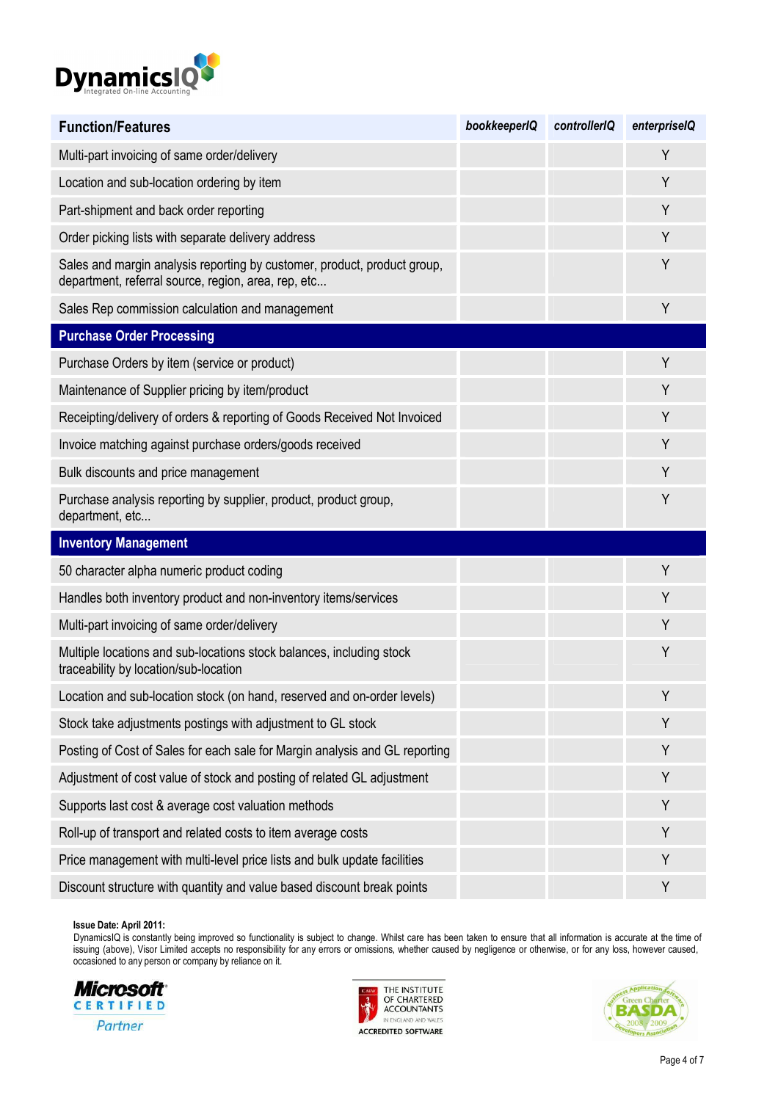

| <b>Function/Features</b>                                                                                                        | bookkeeperIQ | controllerIQ | enterpriselQ |
|---------------------------------------------------------------------------------------------------------------------------------|--------------|--------------|--------------|
| Multi-part invoicing of same order/delivery                                                                                     |              |              | Y            |
| Location and sub-location ordering by item                                                                                      |              |              | Y            |
| Part-shipment and back order reporting                                                                                          |              |              | Y            |
| Order picking lists with separate delivery address                                                                              |              |              | Y            |
| Sales and margin analysis reporting by customer, product, product group,<br>department, referral source, region, area, rep, etc |              |              | Y            |
| Sales Rep commission calculation and management                                                                                 |              |              | Y            |
| <b>Purchase Order Processing</b>                                                                                                |              |              |              |
| Purchase Orders by item (service or product)                                                                                    |              |              | Y            |
| Maintenance of Supplier pricing by item/product                                                                                 |              |              | Y            |
| Receipting/delivery of orders & reporting of Goods Received Not Invoiced                                                        |              |              | Υ            |
| Invoice matching against purchase orders/goods received                                                                         |              |              | Y            |
| Bulk discounts and price management                                                                                             |              |              | Y            |
| Purchase analysis reporting by supplier, product, product group,<br>department, etc                                             |              |              | Y            |
| <b>Inventory Management</b>                                                                                                     |              |              |              |
| 50 character alpha numeric product coding                                                                                       |              |              | Y            |
| Handles both inventory product and non-inventory items/services                                                                 |              |              | Υ            |
| Multi-part invoicing of same order/delivery                                                                                     |              |              | Y            |
| Multiple locations and sub-locations stock balances, including stock<br>traceability by location/sub-location                   |              |              | Y            |
| Location and sub-location stock (on hand, reserved and on-order levels)                                                         |              |              | Υ            |
| Stock take adjustments postings with adjustment to GL stock                                                                     |              |              | Υ            |
| Posting of Cost of Sales for each sale for Margin analysis and GL reporting                                                     |              |              | Y            |
| Adjustment of cost value of stock and posting of related GL adjustment                                                          |              |              | Υ            |
| Supports last cost & average cost valuation methods                                                                             |              |              | Υ            |
| Roll-up of transport and related costs to item average costs                                                                    |              |              | Υ            |
| Price management with multi-level price lists and bulk update facilities                                                        |              |              | Y            |
| Discount structure with quantity and value based discount break points                                                          |              |              | Υ            |





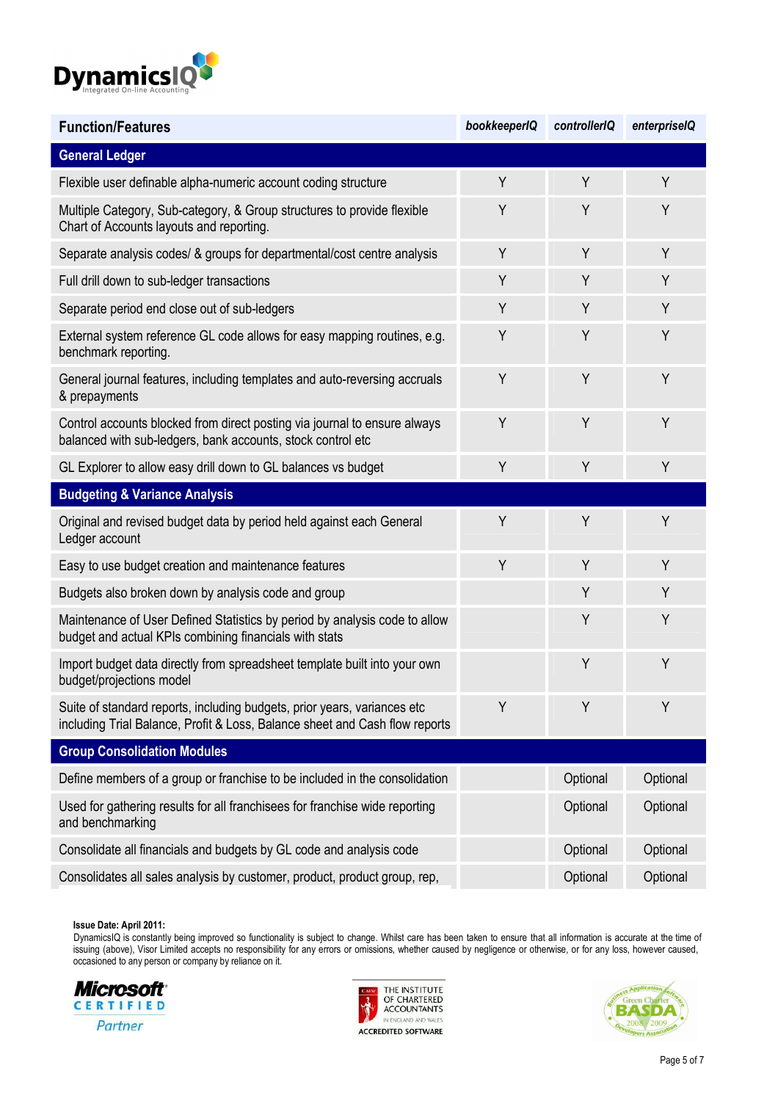

| <b>Function/Features</b>                                                                                                                                | bookkeeperIQ | controllerIQ | enterpriselQ |
|---------------------------------------------------------------------------------------------------------------------------------------------------------|--------------|--------------|--------------|
| <b>General Ledger</b>                                                                                                                                   |              |              |              |
| Flexible user definable alpha-numeric account coding structure                                                                                          | Y            | Y            | Y            |
| Multiple Category, Sub-category, & Group structures to provide flexible<br>Chart of Accounts layouts and reporting.                                     | Y            | Y            | Y            |
| Separate analysis codes/ & groups for departmental/cost centre analysis                                                                                 | Y            | Y            | Y            |
| Full drill down to sub-ledger transactions                                                                                                              | Y            | Y            | Y            |
| Separate period end close out of sub-ledgers                                                                                                            | Y            | Y            | Y            |
| External system reference GL code allows for easy mapping routines, e.g.<br>benchmark reporting.                                                        | Y            | Y            | Y            |
| General journal features, including templates and auto-reversing accruals<br>& prepayments                                                              | Y            | Y            | Y            |
| Control accounts blocked from direct posting via journal to ensure always<br>balanced with sub-ledgers, bank accounts, stock control etc                | Y            | Y            | Y            |
| GL Explorer to allow easy drill down to GL balances vs budget                                                                                           | Y            | Y            | Y            |
| <b>Budgeting &amp; Variance Analysis</b>                                                                                                                |              |              |              |
| Original and revised budget data by period held against each General<br>Ledger account                                                                  | Y            | Y            | Y            |
| Easy to use budget creation and maintenance features                                                                                                    | Y            | Y            | Y            |
| Budgets also broken down by analysis code and group                                                                                                     |              | Y            | Y            |
| Maintenance of User Defined Statistics by period by analysis code to allow<br>budget and actual KPIs combining financials with stats                    |              | Y            | Y            |
| Import budget data directly from spreadsheet template built into your own<br>budget/projections model                                                   |              | Y            | Y            |
| Suite of standard reports, including budgets, prior years, variances etc<br>including Trial Balance, Profit & Loss, Balance sheet and Cash flow reports | Y            | Y            | Y            |
| <b>Group Consolidation Modules</b>                                                                                                                      |              |              |              |
| Define members of a group or franchise to be included in the consolidation                                                                              |              | Optional     | Optional     |
| Used for gathering results for all franchisees for franchise wide reporting<br>and benchmarking                                                         |              | Optional     | Optional     |
| Consolidate all financials and budgets by GL code and analysis code                                                                                     |              | Optional     | Optional     |
| Consolidates all sales analysis by customer, product, product group, rep,                                                                               |              | Optional     | Optional     |





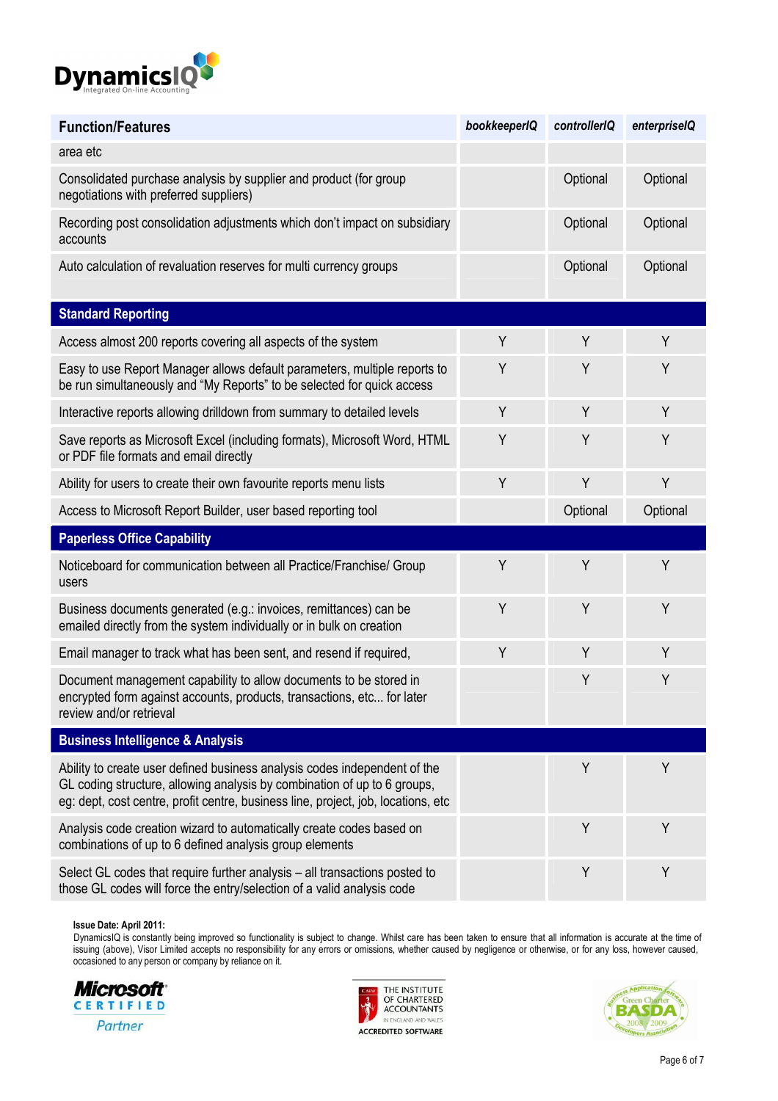

| <b>Function/Features</b>                                                                                                                                                                                                                   | bookkeeperIQ | controllerIQ | enterpriselQ |
|--------------------------------------------------------------------------------------------------------------------------------------------------------------------------------------------------------------------------------------------|--------------|--------------|--------------|
| area etc                                                                                                                                                                                                                                   |              |              |              |
| Consolidated purchase analysis by supplier and product (for group<br>negotiations with preferred suppliers)                                                                                                                                |              | Optional     | Optional     |
| Recording post consolidation adjustments which don't impact on subsidiary<br>accounts                                                                                                                                                      |              | Optional     | Optional     |
| Auto calculation of revaluation reserves for multi currency groups                                                                                                                                                                         |              | Optional     | Optional     |
| <b>Standard Reporting</b>                                                                                                                                                                                                                  |              |              |              |
| Access almost 200 reports covering all aspects of the system                                                                                                                                                                               | Y            | Y            | Y            |
| Easy to use Report Manager allows default parameters, multiple reports to<br>be run simultaneously and "My Reports" to be selected for quick access                                                                                        | Y            | Y            | Y            |
| Interactive reports allowing drilldown from summary to detailed levels                                                                                                                                                                     | Y            | Y            | Y            |
| Save reports as Microsoft Excel (including formats), Microsoft Word, HTML<br>or PDF file formats and email directly                                                                                                                        | Y            | Y            | Y            |
| Ability for users to create their own favourite reports menu lists                                                                                                                                                                         | Y            | Y            | Υ            |
| Access to Microsoft Report Builder, user based reporting tool                                                                                                                                                                              |              | Optional     | Optional     |
| <b>Paperless Office Capability</b>                                                                                                                                                                                                         |              |              |              |
| Noticeboard for communication between all Practice/Franchise/ Group<br>users                                                                                                                                                               | Y            | Y            | Y            |
| Business documents generated (e.g.: invoices, remittances) can be<br>emailed directly from the system individually or in bulk on creation                                                                                                  | Υ            | Y            | Y            |
| Email manager to track what has been sent, and resend if required,                                                                                                                                                                         | Y            | Y            | Y            |
| Document management capability to allow documents to be stored in<br>encrypted form against accounts, products, transactions, etc for later<br>review and/or retrieval                                                                     |              | Y            | Υ            |
| <b>Business Intelligence &amp; Analysis</b>                                                                                                                                                                                                |              |              |              |
| Ability to create user defined business analysis codes independent of the<br>GL coding structure, allowing analysis by combination of up to 6 groups,<br>eg: dept, cost centre, profit centre, business line, project, job, locations, etc |              | Y            | Y            |
| Analysis code creation wizard to automatically create codes based on<br>combinations of up to 6 defined analysis group elements                                                                                                            |              | Y            | Y            |
| Select GL codes that require further analysis - all transactions posted to<br>those GL codes will force the entry/selection of a valid analysis code                                                                                       |              | Y            | Y            |